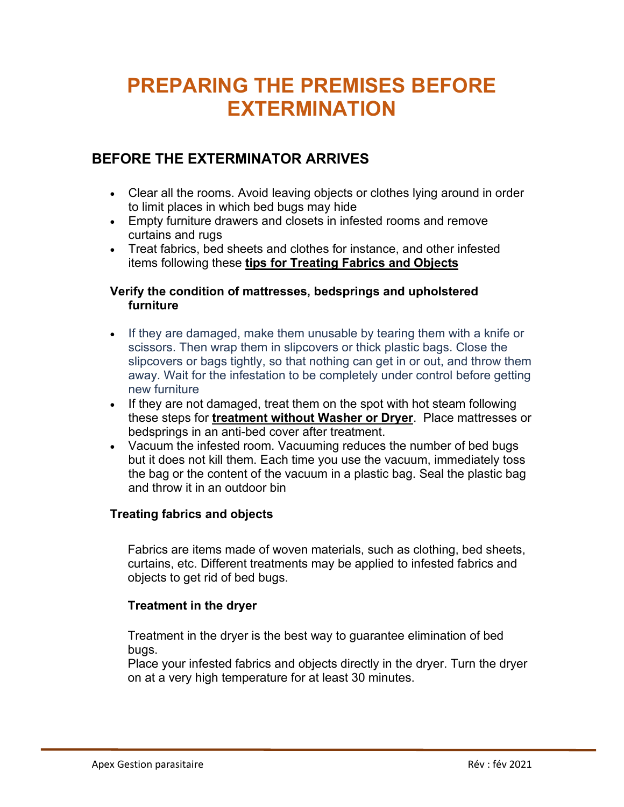# **PREPARING THE PREMISES BEFORE EXTERMINATION**

### **BEFORE THE EXTERMINATOR ARRIVES**

- Clear all the rooms. Avoid leaving objects or clothes lying around in order to limit places in which bed bugs may hide
- Empty furniture drawers and closets in infested rooms and remove curtains and rugs
- Treat fabrics, bed sheets and clothes for instance, and other infested items following these **tips for Treating Fabrics and Objects**

#### **Verify the condition of mattresses, bedsprings and upholstered furniture**

- If they are damaged, make them unusable by tearing them with a knife or scissors. Then wrap them in slipcovers or thick plastic bags. Close the slipcovers or bags tightly, so that nothing can get in or out, and throw them away. Wait for the infestation to be completely under control before getting new furniture
- If they are not damaged, treat them on the spot with hot steam following these steps for **treatment without Washer or Dryer**. Place mattresses or bedsprings in an anti-bed cover after treatment.
- Vacuum the infested room. Vacuuming reduces the number of bed bugs but it does not kill them. Each time you use the vacuum, immediately toss the bag or the content of the vacuum in a plastic bag. Seal the plastic bag and throw it in an outdoor bin

#### **Treating fabrics and objects**

Fabrics are items made of woven materials, such as clothing, bed sheets, curtains, etc. Different treatments may be applied to infested fabrics and objects to get rid of bed bugs.

#### **Treatment in the dryer**

Treatment in the dryer is the best way to guarantee elimination of bed bugs.

Place your infested fabrics and objects directly in the dryer. Turn the dryer on at a very high temperature for at least 30 minutes.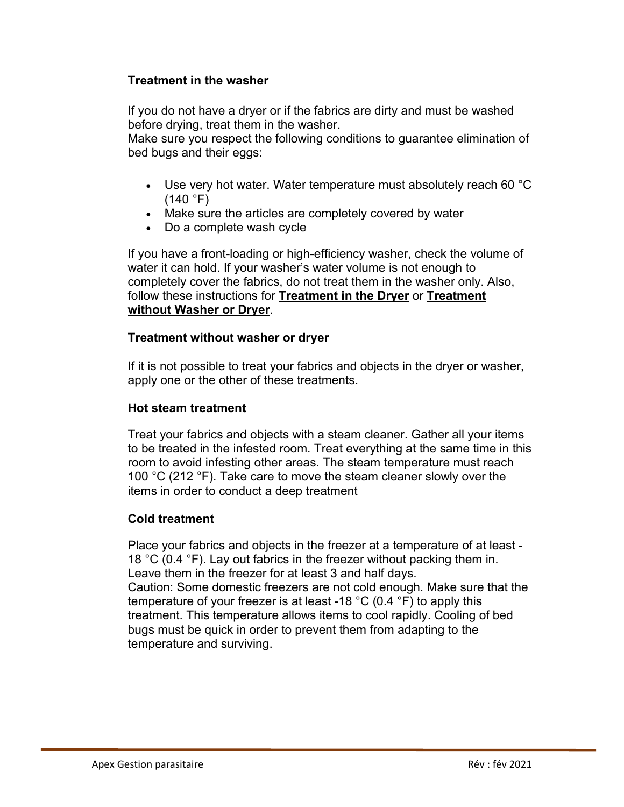#### **Treatment in the washer**

If you do not have a dryer or if the fabrics are dirty and must be washed before drying, treat them in the washer.

Make sure you respect the following conditions to guarantee elimination of bed bugs and their eggs:

- Use very hot water. Water temperature must absolutely reach 60 °C  $(140 °F)$
- Make sure the articles are completely covered by water
- Do a complete wash cycle

If you have a front-loading or high-efficiency washer, check the volume of water it can hold. If your washer's water volume is not enough to completely cover the fabrics, do not treat them in the washer only. Also, follow these instructions for **Treatment in the Dryer** or **Treatment without Washer or Dryer**.

#### **Treatment without washer or dryer**

If it is not possible to treat your fabrics and objects in the dryer or washer, apply one or the other of these treatments.

#### **Hot steam treatment**

Treat your fabrics and objects with a steam cleaner. Gather all your items to be treated in the infested room. Treat everything at the same time in this room to avoid infesting other areas. The steam temperature must reach 100 °C (212 °F). Take care to move the steam cleaner slowly over the items in order to conduct a deep treatment

#### **Cold treatment**

Place your fabrics and objects in the freezer at a temperature of at least - 18 °C (0.4 °F). Lay out fabrics in the freezer without packing them in. Leave them in the freezer for at least 3 and half days. Caution: Some domestic freezers are not cold enough. Make sure that the temperature of your freezer is at least -18 °C (0.4 °F) to apply this treatment. This temperature allows items to cool rapidly. Cooling of bed bugs must be quick in order to prevent them from adapting to the temperature and surviving.